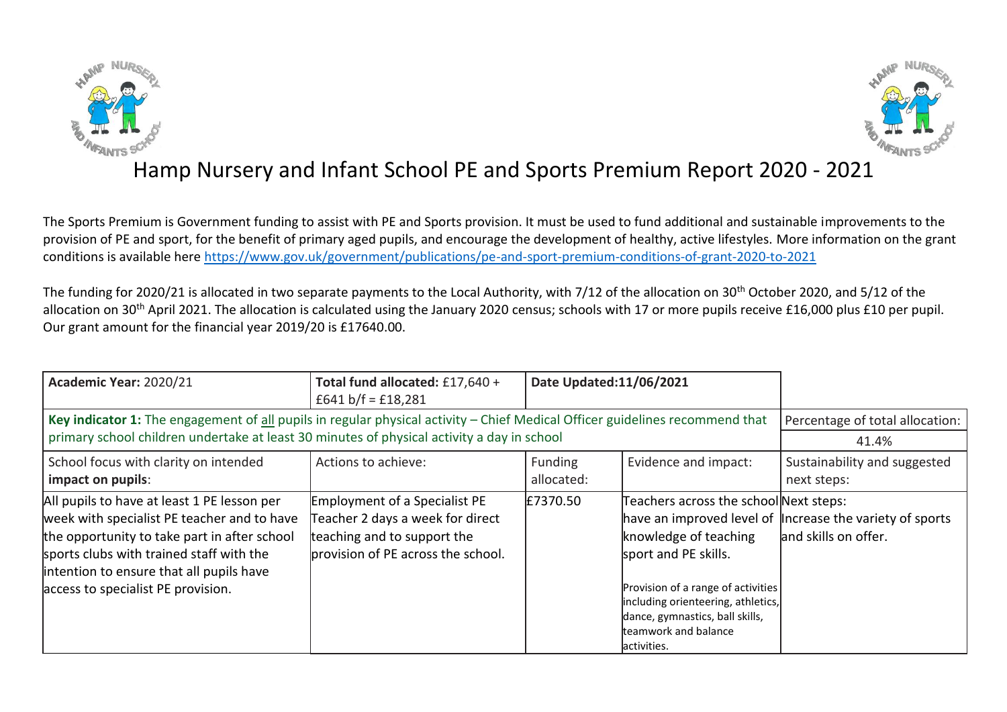



## Hamp Nursery and Infant School PE and Sports Premium Report 2020 - 2021

The Sports Premium is Government funding to assist with PE and Sports provision. It must be used to fund additional and sustainable improvements to the provision of PE and sport, for the benefit of primary aged pupils, and encourage the development of healthy, active lifestyles. More information on the grant conditions is available here <https://www.gov.uk/government/publications/pe-and-sport-premium-conditions-of-grant-2020-to-2021>

The funding for 2020/21 is allocated in two separate payments to the Local Authority, with 7/12 of the allocation on 30<sup>th</sup> October 2020, and 5/12 of the allocation on 30<sup>th</sup> April 2021. The allocation is calculated using the January 2020 census; schools with 17 or more pupils receive £16,000 plus £10 per pupil. Our grant amount for the financial year 2019/20 is £17640.00.

| Academic Year: 2020/21                                                                                                                                                                                                                                                   | Total fund allocated: £17,640 +<br>£641 b/f = £18,281                                                                                         | Date Updated:11/06/2021 |                                                                                                                                                                                                                                               |                                                                                    |
|--------------------------------------------------------------------------------------------------------------------------------------------------------------------------------------------------------------------------------------------------------------------------|-----------------------------------------------------------------------------------------------------------------------------------------------|-------------------------|-----------------------------------------------------------------------------------------------------------------------------------------------------------------------------------------------------------------------------------------------|------------------------------------------------------------------------------------|
| Key indicator 1: The engagement of all pupils in regular physical activity - Chief Medical Officer guidelines recommend that<br>primary school children undertake at least 30 minutes of physical activity a day in school                                               | Percentage of total allocation:<br>41.4%                                                                                                      |                         |                                                                                                                                                                                                                                               |                                                                                    |
| School focus with clarity on intended<br>impact on pupils:                                                                                                                                                                                                               | Actions to achieve:                                                                                                                           | Funding<br>allocated:   | Evidence and impact:                                                                                                                                                                                                                          | Sustainability and suggested<br>next steps:                                        |
| All pupils to have at least 1 PE lesson per<br>week with specialist PE teacher and to have<br>the opportunity to take part in after school<br>sports clubs with trained staff with the<br>intention to ensure that all pupils have<br>access to specialist PE provision. | <b>Employment of a Specialist PE</b><br>Teacher 2 days a week for direct<br>teaching and to support the<br>provision of PE across the school. | £7370.50                | Teachers across the school Next steps:<br>knowledge of teaching<br>sport and PE skills.<br>Provision of a range of activities<br>including orienteering, athletics,<br>dance, gymnastics, ball skills,<br>teamwork and balance<br>activities. | have an improved level of lincrease the variety of sports<br>land skills on offer. |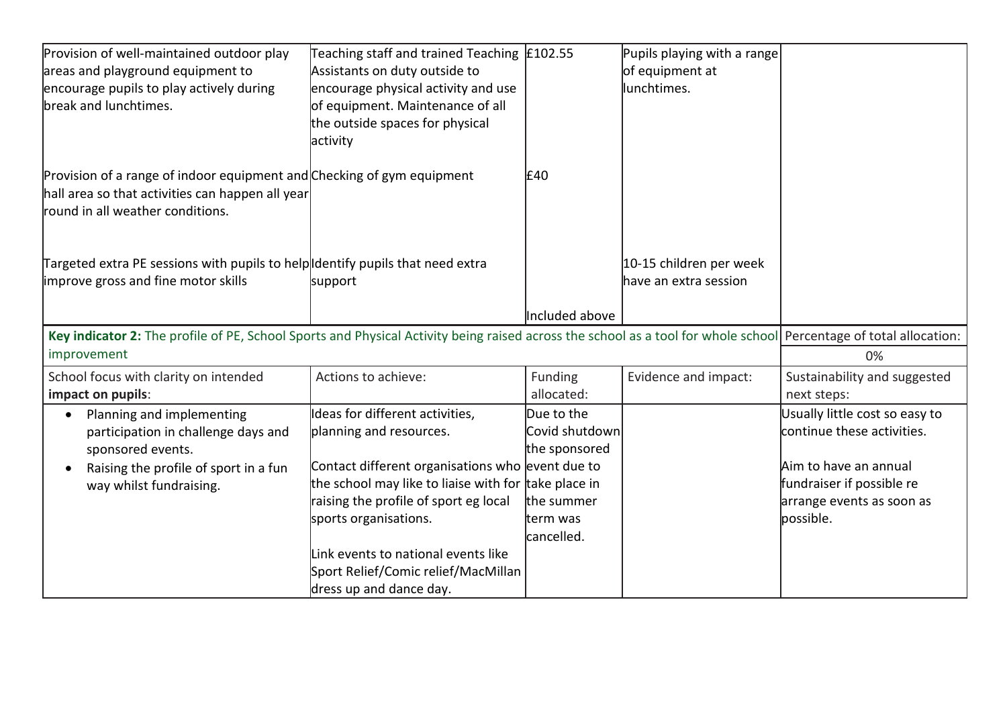| Provision of well-maintained outdoor play                                                                                                                         | Teaching staff and trained Teaching $\vert$ £102.55  |                | Pupils playing with a range |                                |
|-------------------------------------------------------------------------------------------------------------------------------------------------------------------|------------------------------------------------------|----------------|-----------------------------|--------------------------------|
| areas and playground equipment to                                                                                                                                 | Assistants on duty outside to                        |                | of equipment at             |                                |
| encourage pupils to play actively during                                                                                                                          | encourage physical activity and use                  |                | lunchtimes.                 |                                |
| break and lunchtimes.                                                                                                                                             | of equipment. Maintenance of all                     |                |                             |                                |
|                                                                                                                                                                   | the outside spaces for physical                      |                |                             |                                |
|                                                                                                                                                                   | activity                                             |                |                             |                                |
| Provision of a range of indoor equipment and Checking of gym equipment                                                                                            |                                                      | £40            |                             |                                |
| hall area so that activities can happen all year                                                                                                                  |                                                      |                |                             |                                |
| round in all weather conditions.                                                                                                                                  |                                                      |                |                             |                                |
|                                                                                                                                                                   |                                                      |                |                             |                                |
| Targeted extra PE sessions with pupils to help Identify pupils that need extra                                                                                    |                                                      |                | 10-15 children per week     |                                |
| improve gross and fine motor skills                                                                                                                               | support                                              |                | have an extra session       |                                |
|                                                                                                                                                                   |                                                      | Included above |                             |                                |
| Key indicator 2: The profile of PE, School Sports and Physical Activity being raised across the school as a tool for whole school Percentage of total allocation: |                                                      |                |                             |                                |
| improvement                                                                                                                                                       |                                                      |                |                             | 0%                             |
| School focus with clarity on intended                                                                                                                             | Actions to achieve:                                  | Funding        | Evidence and impact:        | Sustainability and suggested   |
| impact on pupils:                                                                                                                                                 |                                                      | allocated:     |                             | next steps:                    |
| Planning and implementing                                                                                                                                         | Ideas for different activities,                      | Due to the     |                             | Usually little cost so easy to |
| participation in challenge days and                                                                                                                               | planning and resources.                              | Covid shutdown |                             | continue these activities.     |
| sponsored events.                                                                                                                                                 |                                                      | the sponsored  |                             |                                |
| Raising the profile of sport in a fun<br>$\bullet$                                                                                                                | Contact different organisations who event due to     |                |                             | Aim to have an annual          |
| way whilst fundraising.                                                                                                                                           | the school may like to liaise with for take place in |                |                             | fundraiser if possible re      |
|                                                                                                                                                                   | raising the profile of sport eg local                | the summer     |                             | arrange events as soon as      |
|                                                                                                                                                                   | sports organisations.                                | term was       |                             | bossible.                      |
|                                                                                                                                                                   |                                                      | cancelled.     |                             |                                |
|                                                                                                                                                                   | Link events to national events like                  |                |                             |                                |
|                                                                                                                                                                   | Sport Relief/Comic relief/MacMillan                  |                |                             |                                |
|                                                                                                                                                                   | dress up and dance day.                              |                |                             |                                |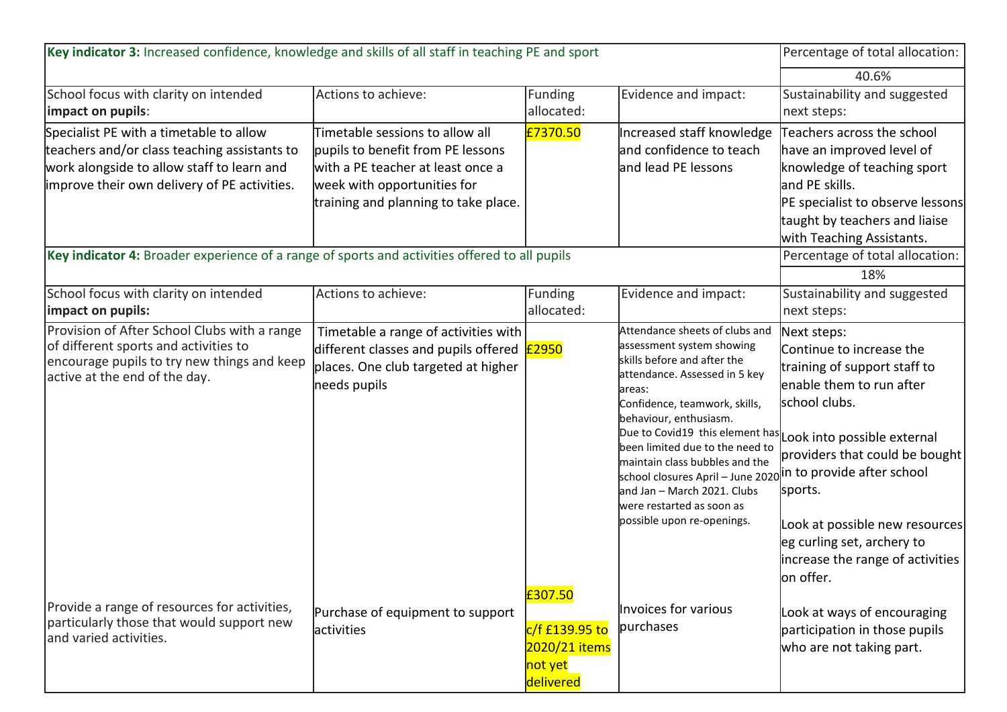| Key indicator 3: Increased confidence, knowledge and skills of all staff in teaching PE and sport                                                                                                                                                                                      |                                                                                                                                                                                  |                                                                    | Percentage of total allocation:                                                                                                                                                                                                                                                                                                                                                                                                 |                                                                                                                                                                                                                                                                                                                                                     |
|----------------------------------------------------------------------------------------------------------------------------------------------------------------------------------------------------------------------------------------------------------------------------------------|----------------------------------------------------------------------------------------------------------------------------------------------------------------------------------|--------------------------------------------------------------------|---------------------------------------------------------------------------------------------------------------------------------------------------------------------------------------------------------------------------------------------------------------------------------------------------------------------------------------------------------------------------------------------------------------------------------|-----------------------------------------------------------------------------------------------------------------------------------------------------------------------------------------------------------------------------------------------------------------------------------------------------------------------------------------------------|
|                                                                                                                                                                                                                                                                                        |                                                                                                                                                                                  |                                                                    |                                                                                                                                                                                                                                                                                                                                                                                                                                 | 40.6%                                                                                                                                                                                                                                                                                                                                               |
| School focus with clarity on intended<br>impact on pupils:                                                                                                                                                                                                                             | Actions to achieve:                                                                                                                                                              | Funding<br>allocated:                                              | Evidence and impact:                                                                                                                                                                                                                                                                                                                                                                                                            | Sustainability and suggested<br>next steps:                                                                                                                                                                                                                                                                                                         |
| Specialist PE with a timetable to allow<br>teachers and/or class teaching assistants to<br>work alongside to allow staff to learn and<br>improve their own delivery of PE activities.<br>Key indicator 4: Broader experience of a range of sports and activities offered to all pupils | Timetable sessions to allow all<br>pupils to benefit from PE lessons<br>with a PE teacher at least once a<br>week with opportunities for<br>training and planning to take place. | £7370.50                                                           | Increased staff knowledge<br>and confidence to teach<br>and lead PE lessons                                                                                                                                                                                                                                                                                                                                                     | Teachers across the school<br>have an improved level of<br>knowledge of teaching sport<br>and PE skills.<br>PE specialist to observe lessons<br>taught by teachers and liaise<br>with Teaching Assistants.<br>Percentage of total allocation:<br>18%                                                                                                |
| School focus with clarity on intended<br>impact on pupils:                                                                                                                                                                                                                             | Actions to achieve:                                                                                                                                                              | <b>Funding</b><br>allocated:                                       | Evidence and impact:                                                                                                                                                                                                                                                                                                                                                                                                            | Sustainability and suggested<br>next steps:                                                                                                                                                                                                                                                                                                         |
| Provision of After School Clubs with a range<br>of different sports and activities to<br>encourage pupils to try new things and keep<br>active at the end of the day.                                                                                                                  | Timetable a range of activities with<br>different classes and pupils offered<br>places. One club targeted at higher<br>needs pupils                                              | £2950                                                              | Attendance sheets of clubs and<br>assessment system showing<br>skills before and after the<br>attendance. Assessed in 5 key<br>areas:<br>Confidence, teamwork, skills,<br>behaviour, enthusiasm.<br>been limited due to the need to<br>maintain class bubbles and the<br>school closures April – June 2020 in to provide after school<br>and Jan - March 2021. Clubs<br>were restarted as soon as<br>possible upon re-openings. | Next steps:<br>Continue to increase the<br>training of support staff to<br>lenable them to run after<br>school clubs.<br>Due to Covid19 this element has Look into possible external<br>providers that could be bought<br>sports.<br>Look at possible new resources<br>eg curling set, archery to<br>increase the range of activities<br>lon offer. |
| Provide a range of resources for activities,<br>particularly those that would support new<br>and varied activities.                                                                                                                                                                    | Purchase of equipment to support<br>activities                                                                                                                                   | £307.50<br>c/f £139.95 to<br>2020/21 items<br>not yet<br>delivered | Invoices for various<br>purchases                                                                                                                                                                                                                                                                                                                                                                                               | Look at ways of encouraging<br>participation in those pupils<br>who are not taking part.                                                                                                                                                                                                                                                            |